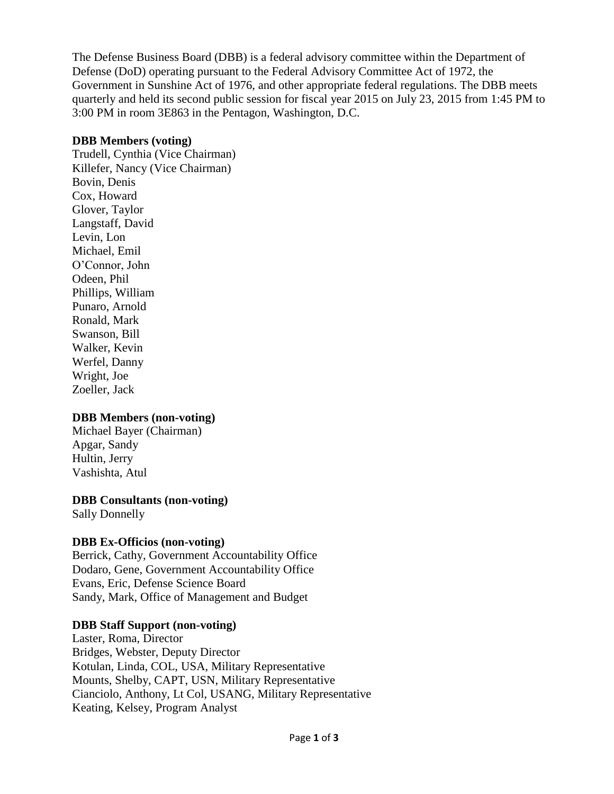The Defense Business Board (DBB) is a federal advisory committee within the Department of Defense (DoD) operating pursuant to the Federal Advisory Committee Act of 1972, the Government in Sunshine Act of 1976, and other appropriate federal regulations. The DBB meets quarterly and held its second public session for fiscal year 2015 on July 23, 2015 from 1:45 PM to 3:00 PM in room 3E863 in the Pentagon, Washington, D.C.

### **DBB Members (voting)**

Trudell, Cynthia (Vice Chairman) Killefer, Nancy (Vice Chairman) Bovin, Denis Cox, Howard Glover, Taylor Langstaff, David Levin, Lon Michael, Emil O'Connor, John Odeen, Phil Phillips, William Punaro, Arnold Ronald, Mark Swanson, Bill Walker, Kevin Werfel, Danny Wright, Joe Zoeller, Jack

## **DBB Members (non-voting)**

Michael Bayer (Chairman) Apgar, Sandy Hultin, Jerry Vashishta, Atul

# **DBB Consultants (non-voting)**

Sally Donnelly

## **DBB Ex-Officios (non-voting)**

Berrick, Cathy, Government Accountability Office Dodaro, Gene, Government Accountability Office Evans, Eric, Defense Science Board Sandy, Mark, Office of Management and Budget

## **DBB Staff Support (non-voting)**

Laster, Roma, Director Bridges, Webster, Deputy Director Kotulan, Linda, COL, USA, Military Representative Mounts, Shelby, CAPT, USN, Military Representative Cianciolo, Anthony, Lt Col, USANG, Military Representative Keating, Kelsey, Program Analyst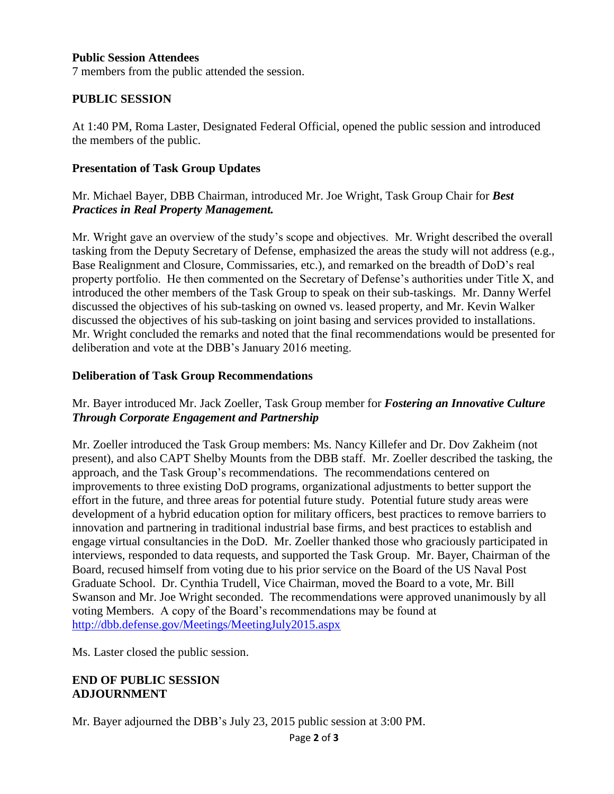#### **Public Session Attendees**

7 members from the public attended the session.

### **PUBLIC SESSION**

At 1:40 PM, Roma Laster, Designated Federal Official, opened the public session and introduced the members of the public.

#### **Presentation of Task Group Updates**

## Mr. Michael Bayer, DBB Chairman, introduced Mr. Joe Wright, Task Group Chair for *Best Practices in Real Property Management.*

Mr. Wright gave an overview of the study's scope and objectives. Mr. Wright described the overall tasking from the Deputy Secretary of Defense, emphasized the areas the study will not address (e.g., Base Realignment and Closure, Commissaries, etc.), and remarked on the breadth of DoD's real property portfolio. He then commented on the Secretary of Defense's authorities under Title X, and introduced the other members of the Task Group to speak on their sub-taskings. Mr. Danny Werfel discussed the objectives of his sub-tasking on owned vs. leased property, and Mr. Kevin Walker discussed the objectives of his sub-tasking on joint basing and services provided to installations. Mr. Wright concluded the remarks and noted that the final recommendations would be presented for deliberation and vote at the DBB's January 2016 meeting.

### **Deliberation of Task Group Recommendations**

## Mr. Bayer introduced Mr. Jack Zoeller, Task Group member for *Fostering an Innovative Culture Through Corporate Engagement and Partnership*

Mr. Zoeller introduced the Task Group members: Ms. Nancy Killefer and Dr. Dov Zakheim (not present), and also CAPT Shelby Mounts from the DBB staff. Mr. Zoeller described the tasking, the approach, and the Task Group's recommendations. The recommendations centered on improvements to three existing DoD programs, organizational adjustments to better support the effort in the future, and three areas for potential future study. Potential future study areas were development of a hybrid education option for military officers, best practices to remove barriers to innovation and partnering in traditional industrial base firms, and best practices to establish and engage virtual consultancies in the DoD. Mr. Zoeller thanked those who graciously participated in interviews, responded to data requests, and supported the Task Group. Mr. Bayer, Chairman of the Board, recused himself from voting due to his prior service on the Board of the US Naval Post Graduate School. Dr. Cynthia Trudell, Vice Chairman, moved the Board to a vote, Mr. Bill Swanson and Mr. Joe Wright seconded. The recommendations were approved unanimously by all voting Members. A copy of the Board's recommendations may be found at <http://dbb.defense.gov/Meetings/MeetingJuly2015.aspx>

Ms. Laster closed the public session.

### **END OF PUBLIC SESSION ADJOURNMENT**

Mr. Bayer adjourned the DBB's July 23, 2015 public session at 3:00 PM.